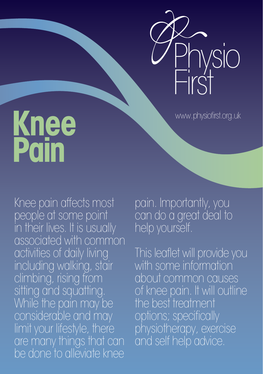

www.physiofirst.org.uk

## **Knee Pain**

Knee pain affects most people at some point in their lives. It is usually associated with common activities of daily living including walking, stair climbing, rising from sitting and squatting. While the pain may be considerable and may limit your lifestyle, there are many things that can be done to alleviate knee

pain. Importantly, you can do a great deal to help yourself.

This leaflet will provide you with some information about common causes of knee pain. It will outline the best treatment options; specifically physiotherapy, exercise and self help advice.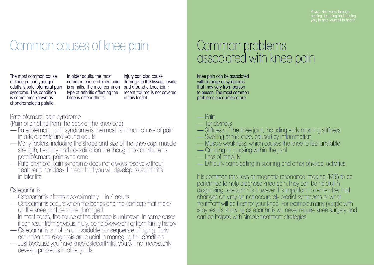Physio First works through

### Common causes of knee pain **Common problems**

The most common cause of knee pain in younger syndrome. This condition is sometimes known as chondromalacia patella.

adults is patellofemoral pain is arthritis. The most common In older adults, the most common cause of knee pain type of arthritis affecting the knee is osteoarthritis.

Injury can also cause damage to the tissues inside and around a knee joint; recent trauma is not covered in this leaflet.

#### Patellofemoral pain syndrome

(Pain originating from the back of the knee cap)

- Patellofemoral pain syndrome is the most common cause of pain<br>in adolescents and young adults
- in Many factors, including the shape and size of the knee cap, muscle strength, flexibility and co-ordination are thought to contribute to patellofemoral pain syndrome
- Patellofemoral pain syndrome does not always resolve without treatment, nor does it mean that you will develop osteoarthritis in later life.

#### **Osteoarthritis**

- Osteoarthritis affects approximately 1 in 4 adults
- Osteoarthritis occurs when the bones and the cartilage that make<br>up the knee joint become damaged
- In most cases, the cause of the damage is unknown. In some cases it can result from previous injury, being overweight or from family history
- it can consequence of aging. Early detection and diagnosis are crucial in managing the condition
- Just because you have knee osteoarthritis, you will not necessarily develop problems in other joints.

# associated with knee pain

Knee pain can be associated with a range of symptoms that may vary from person to person. The most common problems encountered are:

- Pain
- Tenderness
- Stiffness of the knee joint, including early morning stiffness
- Swelling of the knee, caused by inflammation
- Muscle weakness, which causes the knee to feel unstable
- Grinding or cracking within the joint
- Loss of mobility
- Difficulty participating in sporting and other physical activities.

It is common for x-rays or magnetic resonance imaging (MRI) to be performed to help diagnose knee pain.They can be helpful in diagnosing osteoarthritis.However it is important to remember that changes on x-ray do not accurately predict symptoms or what treatment will be best for your knee. For example,many people with x-ray results showing osteoarthritis will never require knee surgery and can be helped with simple treatment strategies.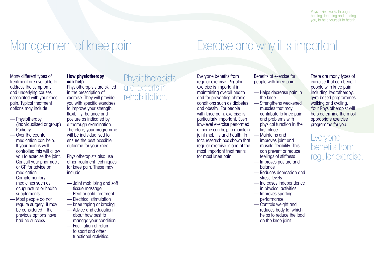### Management of knee pain

Many different types of treatment are available to address the symptoms and underlying causes associated with your knee pain. Typical treatment options may include:

- Physiotherapy (individualised or group) — Podiatry
- Over the counter medication can help. If your pain is well controlled this will allow you to exercise the joint. Consult your pharmacist or GP for advice on medication.
- Complementary medicines such as acupuncture or health supplements
- Most people do not require surgery, it may be considered if the previous options have had no success.

#### **How physiotherapy can help**

Physiotherapists are skilled in the prescription of exercise. They will provide you with specific exercises to improve your strength, flexibility, balance and posture as indicated by a thorough examination. Therefore, your programme will be individualised to ensure the best possible outcome for your knee.

Physiotherapists also use other treatment techniques for knee pain. These may include:

- Joint mobilising and soft tissue massage
- Heat or cold treatment
- Electrical stimulation
- Knee taping or bracing
- Advice and education about how best to manage your condition
- Facilitation of return to sport and other functional activities.

**Physiotherapists** are experts in rehabilitation.

Everyone benefits from regular exercise. Regular exercise is important in maintaining overall health and for preventing chronic conditions such as diabetes and obesity. For people with knee pain, exercise is particularly important. Even low-level exercise performed at home can help to maintain joint mobility and health. In fact, research has shown that regular exercise is one of the most important treatments for most knee pain.

Benefits of exercise for people with knee pain:

Exercise and why it is important

- Helps decrease pain in the knee
- Strengthens weakened muscles that may contribute to knee pain and problems with physical function in the first place
- Maintains and improves joint and muscle flexibility. This can prevent or reduce feelings of stiffness
- Improves posture and balance
- Reduces depression and stress levels
- Increases independence in physical activities
- Improves sporting performance
- Controls weight and reduces body fat which helps to reduce the load on the knee joint.

There are many types of exercise that can benefit people with knee pain including hydrotherapy, gym-based programmes, walking and cycling. Your Physiotherapist will help determine the most appropriate exercise programme for you.

Everyone benefits from regular exercise.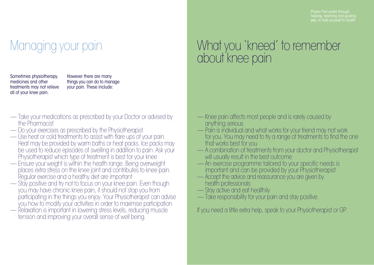Physio First works through

### Managing your pain

Sometimes physiotherapy, medicines and other treatments may not relieve all of your knee pain.

However there are many things you can do to manage your pain. These include:

- Take your medications as prescribed by your Doctor or advised by
- 
- Do your exercises as prescribed by the Physiotherapist<br>— Use heat or cold treatments to assist with flare ups of your pain. Heat may be provided by warm baths or heat packs. Ice packs may be used to reduce episodes of swelling in addition to pain. Ask your<br>Physiotherapist which type of treatment is best for your knee
- Ensure your weight is within the health range. Being overweight places extra stress on the knee joint and contributes to knee pain.
- Stay positive and try not to focus on your knee pain. Even though you may have chronic knee pain, it should not stop you from participating in the things you enjoy. Your Physiotherapist can advise
- Relaxation is important in lowering stress levels, reducing muscle tension and improving your overall sense of well being.

### What you 'kneed' to remember about knee pain

- Knee pain affects most people and is rarely caused by<br>anything serious
- Pain is individual and what works for your friend may not work for you. You may need to try a range of treatments to find the one that works best for you
- A combination of treatments from your doctor and Physiotherapist<br>will usually result in the best outcome
- An exercise programme tailored to your specific needs is important and can be provided by your Physiotherapist — Accept the advice and reassurance you are given by
- 
- Stay active and eat healthily
- Take responsibility for your pain and stay positive.

If you need a little extra help, speak to your Physiotherapist or GP.